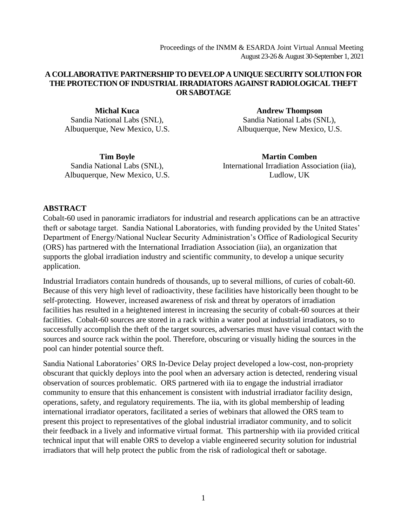#### **A COLLABORATIVE PARTNERSHIP TO DEVELOP A UNIQUE SECURITY SOLUTION FOR THE PROTECTION OF INDUSTRIAL IRRADIATORS AGAINST RADIOLOGICAL THEFT OR SABOTAGE**

**Michal Kuca** Sandia National Labs (SNL), Albuquerque, New Mexico, U.S.

**Andrew Thompson** Sandia National Labs (SNL), Albuquerque, New Mexico, U.S.

**Tim Boyle** Sandia National Labs (SNL), Albuquerque, New Mexico, U.S.

**Martin Comben** International Irradiation Association (iia), Ludlow, UK

### **ABSTRACT**

Cobalt-60 used in panoramic irradiators for industrial and research applications can be an attractive theft or sabotage target. Sandia National Laboratories, with funding provided by the United States' Department of Energy/National Nuclear Security Administration's Office of Radiological Security (ORS) has partnered with the International Irradiation Association (iia), an organization that supports the global irradiation industry and scientific community, to develop a unique security application.

Industrial Irradiators contain hundreds of thousands, up to several millions, of curies of cobalt-60. Because of this very high level of radioactivity, these facilities have historically been thought to be self-protecting. However, increased awareness of risk and threat by operators of irradiation facilities has resulted in a heightened interest in increasing the security of cobalt-60 sources at their facilities. Cobalt-60 sources are stored in a rack within a water pool at industrial irradiators, so to successfully accomplish the theft of the target sources, adversaries must have visual contact with the sources and source rack within the pool. Therefore, obscuring or visually hiding the sources in the pool can hinder potential source theft.

Sandia National Laboratories' ORS In-Device Delay project developed a low-cost, non-propriety obscurant that quickly deploys into the pool when an adversary action is detected, rendering visual observation of sources problematic. ORS partnered with iia to engage the industrial irradiator community to ensure that this enhancement is consistent with industrial irradiator facility design, operations, safety, and regulatory requirements. The iia, with its global membership of leading international irradiator operators, facilitated a series of webinars that allowed the ORS team to present this project to representatives of the global industrial irradiator community, and to solicit their feedback in a lively and informative virtual format. This partnership with iia provided critical technical input that will enable ORS to develop a viable engineered security solution for industrial irradiators that will help protect the public from the risk of radiological theft or sabotage.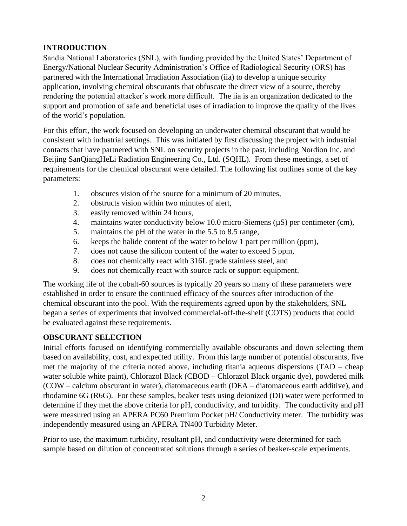### **INTRODUCTION**

Sandia National Laboratories (SNL), with funding provided by the United States' Department of Energy/National Nuclear Security Administration's Office of Radiological Security (ORS) has partnered with the International Irradiation Association (iia) to develop a unique security application, involving chemical obscurants that obfuscate the direct view of a source, thereby rendering the potential attacker's work more difficult. The iia is an organization dedicated to the support and promotion of safe and beneficial uses of irradiation to improve the quality of the lives of the world's population.

For this effort, the work focused on developing an underwater chemical obscurant that would be consistent with industrial settings. This was initiated by first discussing the project with industrial contacts that have partnered with SNL on security projects in the past, including Nordion Inc. and Beijing SanQiangHeLi Radiation Engineering Co., Ltd. (SQHL). From these meetings, a set of requirements for the chemical obscurant were detailed. The following list outlines some of the key parameters:

- 1. obscures vision of the source for a minimum of 20 minutes,
- 2. obstructs vision within two minutes of alert,
- 3. easily removed within 24 hours,
- 4. maintains water conductivity below 10.0 micro-Siemens (µS) per centimeter (cm),
- 5. maintains the pH of the water in the 5.5 to 8.5 range,
- 6. keeps the halide content of the water to below 1 part per million (ppm),
- 7. does not cause the silicon content of the water to exceed 5 ppm,
- 8. does not chemically react with 316L grade stainless steel, and
- 9. does not chemically react with source rack or support equipment.

The working life of the cobalt-60 sources is typically 20 years so many of these parameters were established in order to ensure the continued efficacy of the sources after introduction of the chemical obscurant into the pool. With the requirements agreed upon by the stakeholders, SNL began a series of experiments that involved commercial-off-the-shelf (COTS) products that could be evaluated against these requirements.

### **OBSCURANT SELECTION**

Initial efforts focused on identifying commercially available obscurants and down selecting them based on availability, cost, and expected utility. From this large number of potential obscurants, five met the majority of the criteria noted above, including titania aqueous dispersions (TAD – cheap water soluble white paint), Chlorazol Black (CBOD – Chlorazol Black organic dye), powdered milk (COW – calcium obscurant in water), diatomaceous earth (DEA – diatomaceous earth additive), and rhodamine 6G (R6G). For these samples, beaker tests using deionized (DI) water were performed to determine if they met the above criteria for pH, conductivity, and turbidity. The conductivity and pH were measured using an APERA PC60 Premium Pocket pH/ Conductivity meter. The turbidity was independently measured using an APERA TN400 Turbidity Meter.

Prior to use, the maximum turbidity, resultant pH, and conductivity were determined for each sample based on dilution of concentrated solutions through a series of beaker-scale experiments.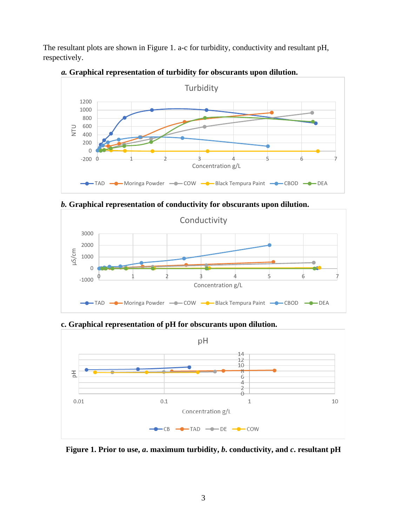The resultant plots are shown in Figure 1. a-c for turbidity, conductivity and resultant pH, respectively.



*a.* **Graphical representation of turbidity for obscurants upon dilution.**

*b.* **Graphical representation of conductivity for obscurants upon dilution.**



**c. Graphical representation of pH for obscurants upon dilution.**



**Figure 1. Prior to use,** *a***. maximum turbidity,** *b***. conductivity, and** *c***. resultant pH**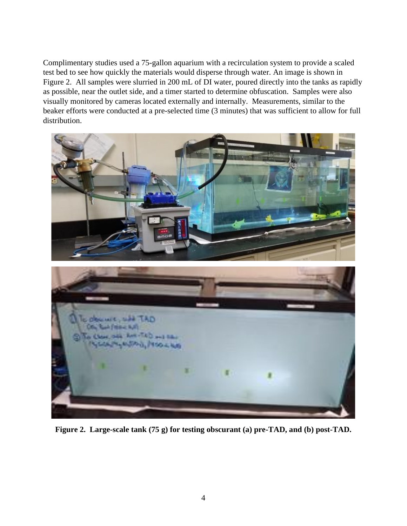Complimentary studies used a 75-gallon aquarium with a recirculation system to provide a scaled test bed to see how quickly the materials would disperse through water. An image is shown in Figure 2. All samples were slurried in 200 mL of DI water, poured directly into the tanks as rapidly as possible, near the outlet side, and a timer started to determine obfuscation. Samples were also visually monitored by cameras located externally and internally. Measurements, similar to the beaker efforts were conducted at a pre-selected time (3 minutes) that was sufficient to allow for full distribution.



**Figure 2. Large-scale tank (75 g) for testing obscurant (a) pre-TAD, and (b) post-TAD.**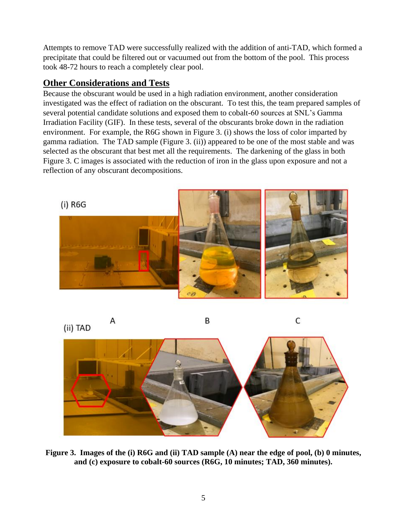Attempts to remove TAD were successfully realized with the addition of anti-TAD, which formed a precipitate that could be filtered out or vacuumed out from the bottom of the pool. This process took 48-72 hours to reach a completely clear pool.

# **Other Considerations and Tests**

Because the obscurant would be used in a high radiation environment, another consideration investigated was the effect of radiation on the obscurant. To test this, the team prepared samples of several potential candidate solutions and exposed them to cobalt-60 sources at SNL's Gamma Irradiation Facility (GIF). In these tests, several of the obscurants broke down in the radiation environment. For example, the R6G shown in Figure 3. (i) shows the loss of color imparted by gamma radiation. The TAD sample (Figure 3. (ii)) appeared to be one of the most stable and was selected as the obscurant that best met all the requirements. The darkening of the glass in both Figure 3. C images is associated with the reduction of iron in the glass upon exposure and not a reflection of any obscurant decompositions.



(ii) TAD

Α

B

C



**Figure 3. Images of the (i) R6G and (ii) TAD sample (A) near the edge of pool, (b) 0 minutes, and (c) exposure to cobalt-60 sources (R6G, 10 minutes; TAD, 360 minutes).**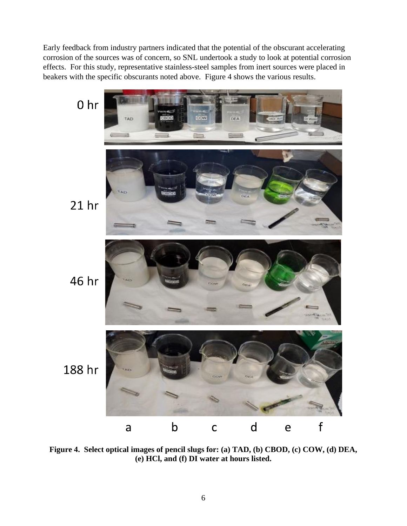Early feedback from industry partners indicated that the potential of the obscurant accelerating corrosion of the sources was of concern, so SNL undertook a study to look at potential corrosion effects. For this study, representative stainless-steel samples from inert sources were placed in beakers with the specific obscurants noted above. Figure 4 shows the various results.



**Figure 4. Select optical images of pencil slugs for: (a) TAD, (b) CBOD, (c) COW, (d) DEA, (e) HCl, and (f) DI water at hours listed.**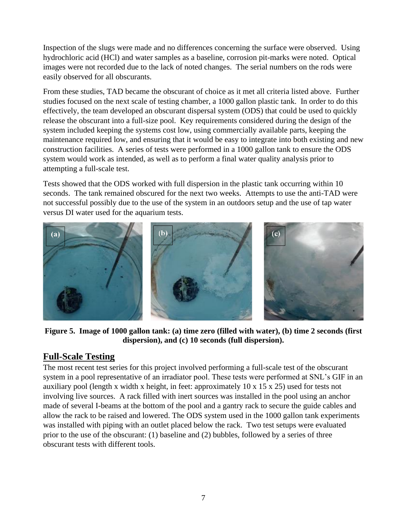Inspection of the slugs were made and no differences concerning the surface were observed. Using hydrochloric acid (HCl) and water samples as a baseline, corrosion pit-marks were noted. Optical images were not recorded due to the lack of noted changes. The serial numbers on the rods were easily observed for all obscurants.

From these studies, TAD became the obscurant of choice as it met all criteria listed above. Further studies focused on the next scale of testing chamber, a 1000 gallon plastic tank. In order to do this effectively, the team developed an obscurant dispersal system (ODS) that could be used to quickly release the obscurant into a full-size pool. Key requirements considered during the design of the system included keeping the systems cost low, using commercially available parts, keeping the maintenance required low, and ensuring that it would be easy to integrate into both existing and new construction facilities. A series of tests were performed in a 1000 gallon tank to ensure the ODS system would work as intended, as well as to perform a final water quality analysis prior to attempting a full-scale test.

Tests showed that the ODS worked with full dispersion in the plastic tank occurring within 10 seconds. The tank remained obscured for the next two weeks. Attempts to use the anti-TAD were not successful possibly due to the use of the system in an outdoors setup and the use of tap water versus DI water used for the aquarium tests.



**Figure 5. Image of 1000 gallon tank: (a) time zero (filled with water), (b) time 2 seconds (first dispersion), and (c) 10 seconds (full dispersion).**

## **Full-Scale Testing**

The most recent test series for this project involved performing a full-scale test of the obscurant system in a pool representative of an irradiator pool. These tests were performed at SNL's GIF in an auxiliary pool (length x width x height, in feet: approximately 10 x 15 x 25) used for tests not involving live sources. A rack filled with inert sources was installed in the pool using an anchor made of several I-beams at the bottom of the pool and a gantry rack to secure the guide cables and allow the rack to be raised and lowered. The ODS system used in the 1000 gallon tank experiments was installed with piping with an outlet placed below the rack. Two test setups were evaluated prior to the use of the obscurant: (1) baseline and (2) bubbles, followed by a series of three obscurant tests with different tools.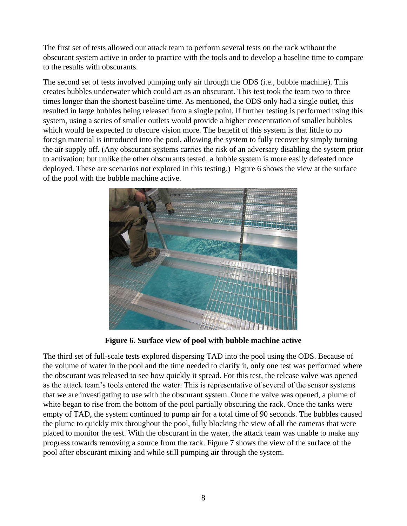The first set of tests allowed our attack team to perform several tests on the rack without the obscurant system active in order to practice with the tools and to develop a baseline time to compare to the results with obscurants.

The second set of tests involved pumping only air through the ODS (i.e., bubble machine). This creates bubbles underwater which could act as an obscurant. This test took the team two to three times longer than the shortest baseline time. As mentioned, the ODS only had a single outlet, this resulted in large bubbles being released from a single point. If further testing is performed using this system, using a series of smaller outlets would provide a higher concentration of smaller bubbles which would be expected to obscure vision more. The benefit of this system is that little to no foreign material is introduced into the pool, allowing the system to fully recover by simply turning the air supply off. (Any obscurant systems carries the risk of an adversary disabling the system prior to activation; but unlike the other obscurants tested, a bubble system is more easily defeated once deployed. These are scenarios not explored in this testing.) Figure 6 shows the view at the surface of the pool with the bubble machine active.



**Figure 6. Surface view of pool with bubble machine active**

The third set of full-scale tests explored dispersing TAD into the pool using the ODS. Because of the volume of water in the pool and the time needed to clarify it, only one test was performed where the obscurant was released to see how quickly it spread. For this test, the release valve was opened as the attack team's tools entered the water. This is representative of several of the sensor systems that we are investigating to use with the obscurant system. Once the valve was opened, a plume of white began to rise from the bottom of the pool partially obscuring the rack. Once the tanks were empty of TAD, the system continued to pump air for a total time of 90 seconds. The bubbles caused the plume to quickly mix throughout the pool, fully blocking the view of all the cameras that were placed to monitor the test. With the obscurant in the water, the attack team was unable to make any progress towards removing a source from the rack. Figure 7 shows the view of the surface of the pool after obscurant mixing and while still pumping air through the system.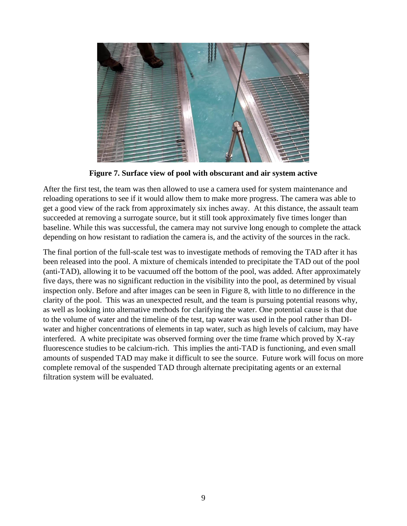

**Figure 7. Surface view of pool with obscurant and air system active**

After the first test, the team was then allowed to use a camera used for system maintenance and reloading operations to see if it would allow them to make more progress. The camera was able to get a good view of the rack from approximately six inches away. At this distance, the assault team succeeded at removing a surrogate source, but it still took approximately five times longer than baseline. While this was successful, the camera may not survive long enough to complete the attack depending on how resistant to radiation the camera is, and the activity of the sources in the rack.

The final portion of the full-scale test was to investigate methods of removing the TAD after it has been released into the pool. A mixture of chemicals intended to precipitate the TAD out of the pool (anti-TAD), allowing it to be vacuumed off the bottom of the pool, was added. After approximately five days, there was no significant reduction in the visibility into the pool, as determined by visual inspection only. Before and after images can be seen in Figure 8, with little to no difference in the clarity of the pool. This was an unexpected result, and the team is pursuing potential reasons why, as well as looking into alternative methods for clarifying the water. One potential cause is that due to the volume of water and the timeline of the test, tap water was used in the pool rather than DIwater and higher concentrations of elements in tap water, such as high levels of calcium, may have interfered. A white precipitate was observed forming over the time frame which proved by X-ray fluorescence studies to be calcium-rich. This implies the anti-TAD is functioning, and even small amounts of suspended TAD may make it difficult to see the source. Future work will focus on more complete removal of the suspended TAD through alternate precipitating agents or an external filtration system will be evaluated.